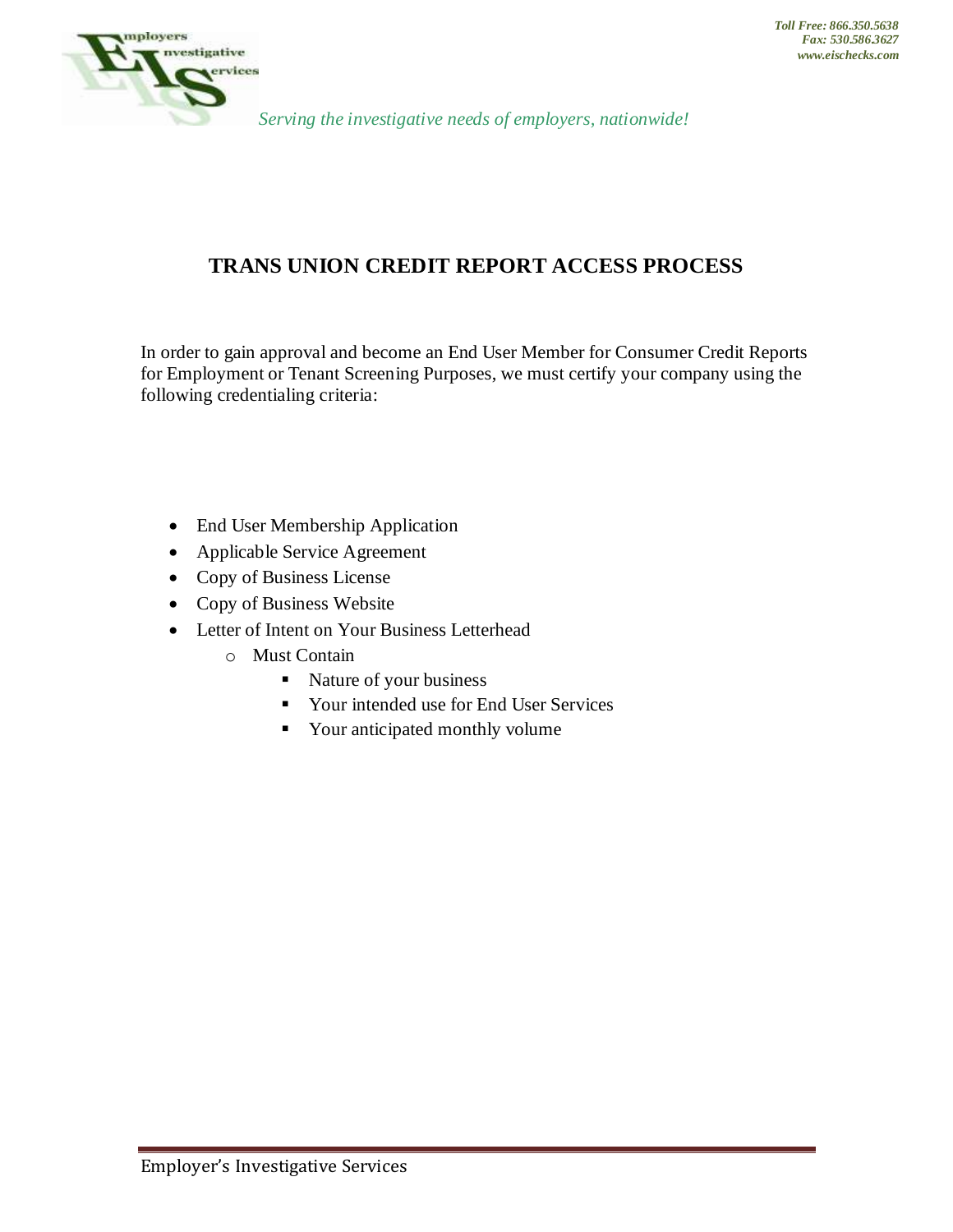

## **TRANS UNION CREDIT REPORT ACCESS PROCESS**

In order to gain approval and become an End User Member for Consumer Credit Reports for Employment or Tenant Screening Purposes, we must certify your company using the following credentialing criteria:

- End User Membership Application
- Applicable Service Agreement
- Copy of Business License
- Copy of Business Website
- Letter of Intent on Your Business Letterhead
	- o Must Contain
		- Nature of your business
		- Your intended use for End User Services
		- Your anticipated monthly volume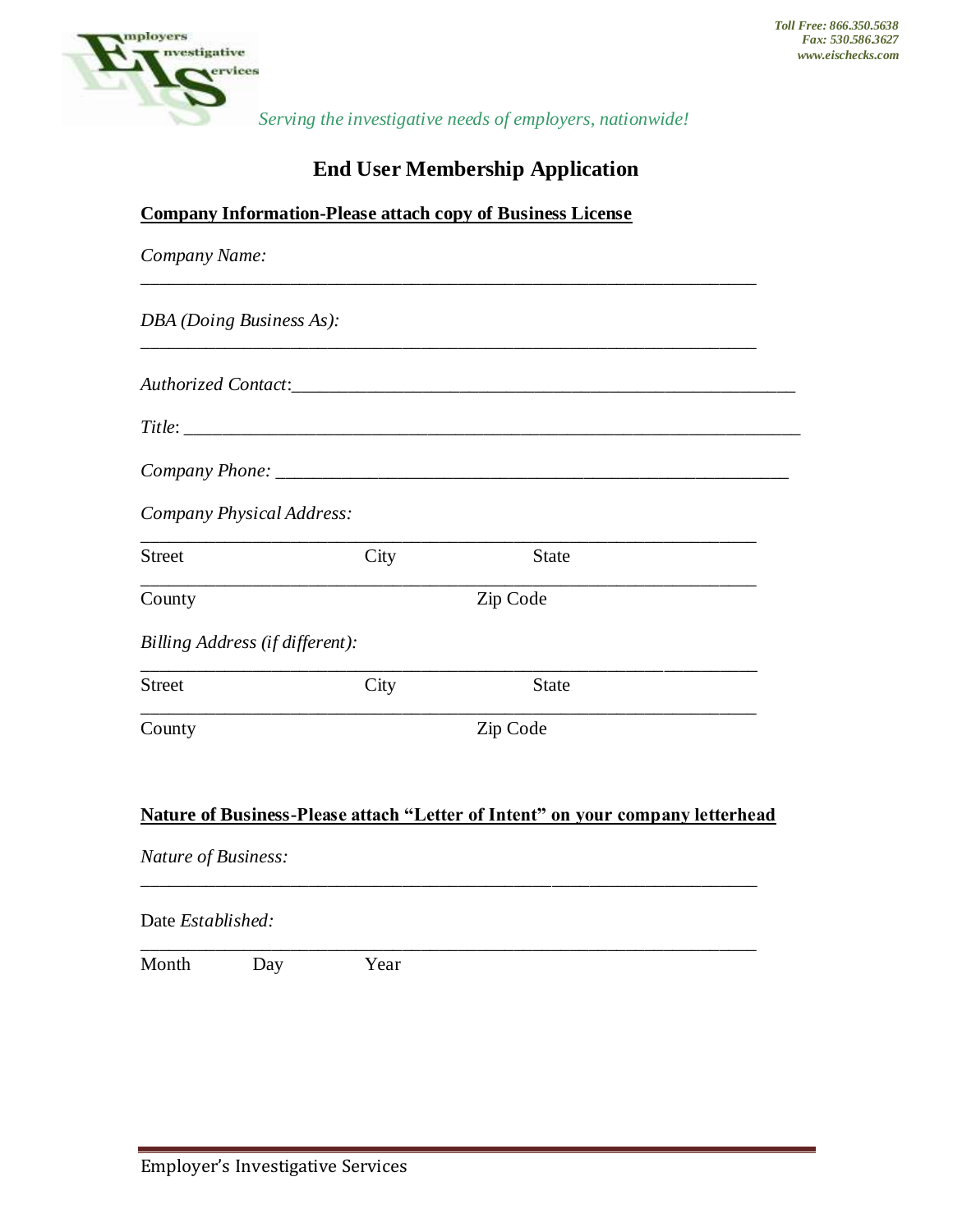

# **End User Membership Application**

|                     |                                 |          | <b>Company Information-Please attach copy of Business License</b>              |  |
|---------------------|---------------------------------|----------|--------------------------------------------------------------------------------|--|
| Company Name:       |                                 |          |                                                                                |  |
|                     | DBA (Doing Business As):        |          |                                                                                |  |
|                     |                                 |          |                                                                                |  |
|                     |                                 |          |                                                                                |  |
|                     |                                 |          |                                                                                |  |
|                     | Company Physical Address:       |          |                                                                                |  |
| <b>Street</b>       |                                 | City     | <b>State</b>                                                                   |  |
| County              |                                 | Zip Code |                                                                                |  |
|                     | Billing Address (if different): |          |                                                                                |  |
| <b>Street</b>       |                                 | City     | <b>State</b>                                                                   |  |
| County              |                                 |          | Zip Code                                                                       |  |
|                     |                                 |          |                                                                                |  |
|                     |                                 |          | Nature of Business-Please attach "Letter of Intent" on your company letterhead |  |
| Nature of Business: |                                 |          |                                                                                |  |
| Date Established:   |                                 |          |                                                                                |  |
| Month               | Day                             | Year     |                                                                                |  |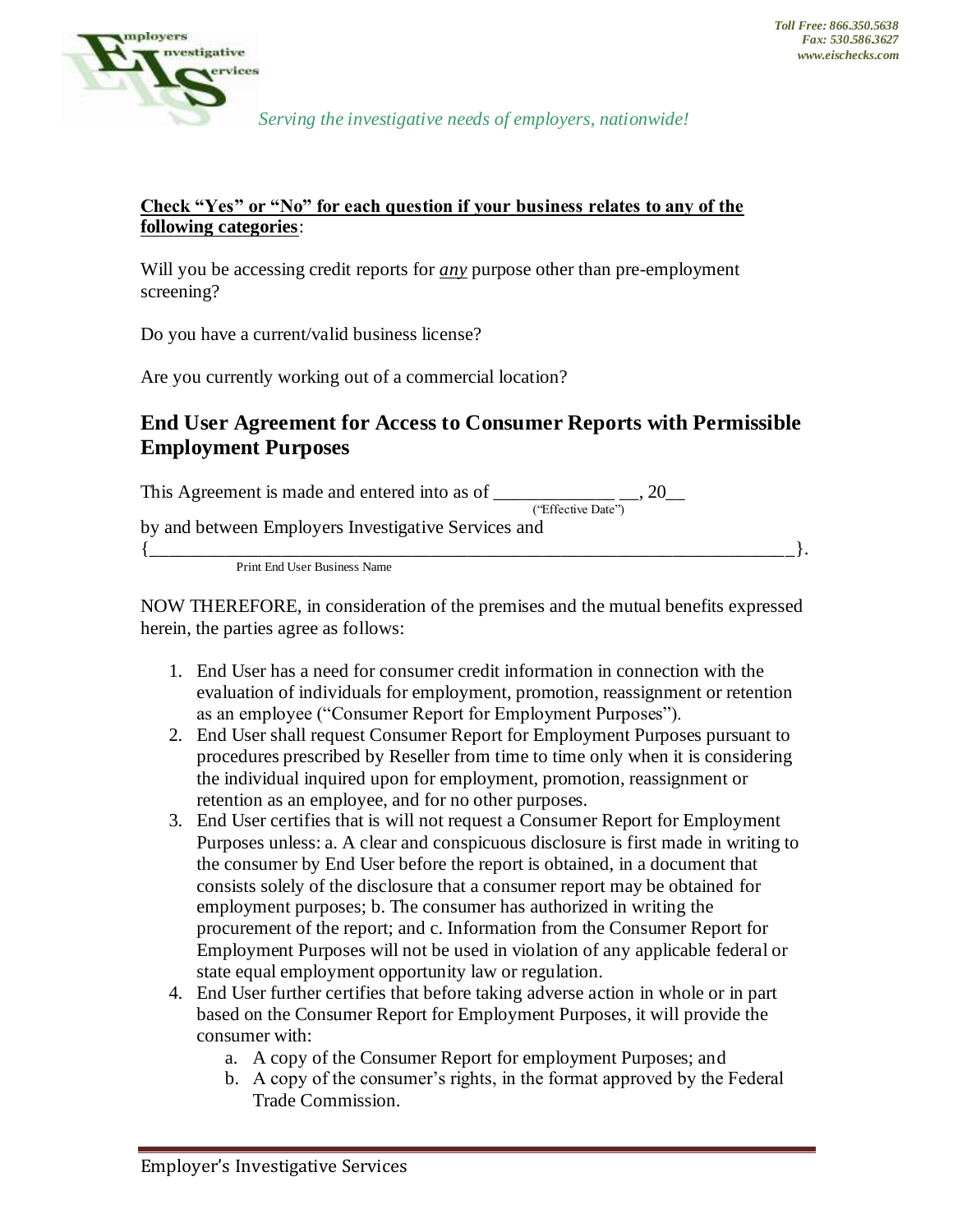

#### **Check "Yes" or "No" for each question if your business relates to any of the following categories**:

Will you be accessing credit reports for *any* purpose other than pre-employment screening?

Do you have a current/valid business license?

Are you currently working out of a commercial location?

### **End User Agreement for Access to Consumer Reports with Permissible Employment Purposes**

This Agreement is made and entered into as of  $\frac{1}{\sqrt{2}}$  =  $\frac{1}{\sqrt{2}}$  =  $\frac{1}{\sqrt{2}}$ 

("Effective Date") by and between Employers Investigative Services and

 $\{\_\_\_\_\_\_\_\_\_.\} \,.$ Print End User Business Name

NOW THEREFORE, in consideration of the premises and the mutual benefits expressed herein, the parties agree as follows:

- 1. End User has a need for consumer credit information in connection with the evaluation of individuals for employment, promotion, reassignment or retention as an employee ("Consumer Report for Employment Purposes").
- 2. End User shall request Consumer Report for Employment Purposes pursuant to procedures prescribed by Reseller from time to time only when it is considering the individual inquired upon for employment, promotion, reassignment or retention as an employee, and for no other purposes.
- 3. End User certifies that is will not request a Consumer Report for Employment Purposes unless: a. A clear and conspicuous disclosure is first made in writing to the consumer by End User before the report is obtained, in a document that consists solely of the disclosure that a consumer report may be obtained for employment purposes; b. The consumer has authorized in writing the procurement of the report; and c. Information from the Consumer Report for Employment Purposes will not be used in violation of any applicable federal or state equal employment opportunity law or regulation.
- 4. End User further certifies that before taking adverse action in whole or in part based on the Consumer Report for Employment Purposes, it will provide the consumer with:
	- a. A copy of the Consumer Report for employment Purposes; and
	- b. A copy of the consumer's rights, in the format approved by the Federal Trade Commission.